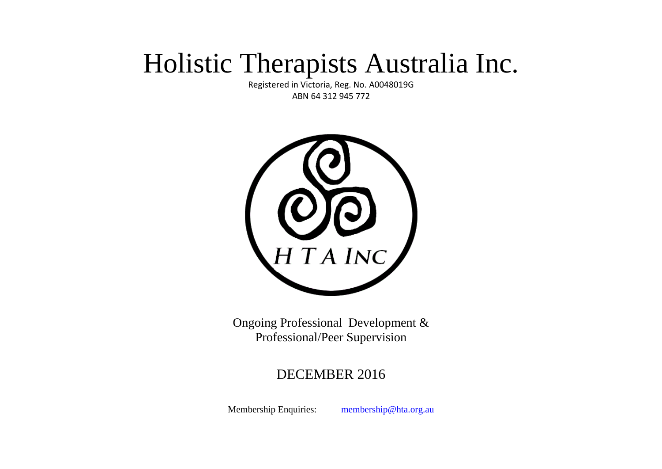# Holistic Therapists Australia Inc.

Registered in Victoria, Reg. No. A0048019G ABN 64 312 945 772



Ongoing Professional Development & Professional/Peer Supervision

# DECEMBER 2016

Membership Enquiries: [membership@hta.org.au](mailto:membership@hta.org.au)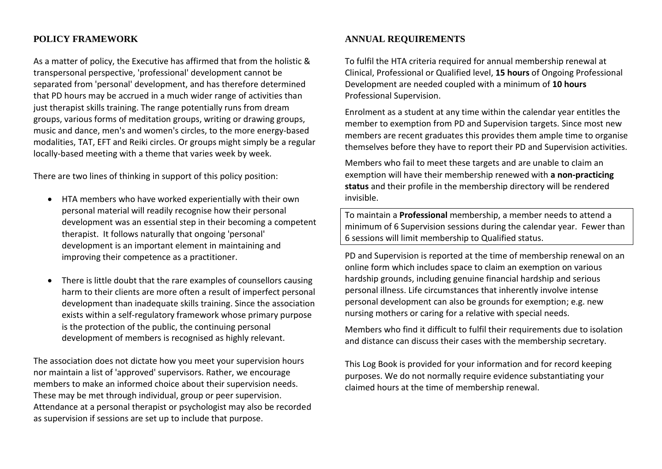#### **POLICY FRAMEWORK**

As a matter of policy, the Executive has affirmed that from the holistic & transpersonal perspective, 'professional' development cannot be separated from 'personal' development, and has therefore determined that PD hours may be accrued in a much wider range of activities than just therapist skills training. The range potentially runs from dream groups, various forms of meditation groups, writing or drawing groups, music and dance, men's and women's circles, to the more energy-based modalities, TAT, EFT and Reiki circles. Or groups might simply be a regular locally-based meeting with a theme that varies week by week.

There are two lines of thinking in support of this policy position:

- HTA members who have worked experientially with their own personal material will readily recognise how their personal development was an essential step in their becoming a competent therapist. It follows naturally that ongoing 'personal' development is an important element in maintaining and improving their competence as a practitioner.
- There is little doubt that the rare examples of counsellors causing harm to their clients are more often a result of imperfect personal development than inadequate skills training. Since the association exists within a self-regulatory framework whose primary purpose is the protection of the public, the continuing personal development of members is recognised as highly relevant.

The association does not dictate how you meet your supervision hours nor maintain a list of 'approved' supervisors. Rather, we encourage members to make an informed choice about their supervision needs. These may be met through individual, group or peer supervision. Attendance at a personal therapist or psychologist may also be recorded as supervision if sessions are set up to include that purpose.

## **ANNUAL REQUIREMENTS**

To fulfil the HTA criteria required for annual membership renewal at Clinical, Professional or Qualified level, **15 hours** of Ongoing Professional Development are needed coupled with a minimum of **10 hours** Professional Supervision.

Enrolment as a student at any time within the calendar year entitles the member to exemption from PD and Supervision targets. Since most new members are recent graduates this provides them ample time to organise themselves before they have to report their PD and Supervision activities.

Members who fail to meet these targets and are unable to claim an exemption will have their membership renewed with **a non-practicing status** and their profile in the membership directory will be rendered invisible.

To maintain a **Professional** membership, a member needs to attend a minimum of 6 Supervision sessions during the calendar year. Fewer than 6 sessions will limit membership to Qualified status.

PD and Supervision is reported at the time of membership renewal on an online form which includes space to claim an exemption on various hardship grounds, including genuine financial hardship and serious personal illness. Life circumstances that inherently involve intense personal development can also be grounds for exemption; e.g. new nursing mothers or caring for a relative with special needs.

Members who find it difficult to fulfil their requirements due to isolation and distance can discuss their cases with the membership secretary.

This Log Book is provided for your information and for record keeping purposes. We do not normally require evidence substantiating your claimed hours at the time of membership renewal.